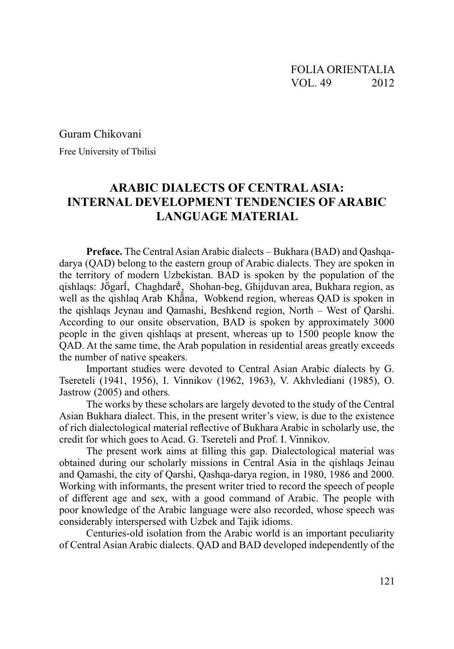Guram Chikovani

Free University of Tbilisi

## **ARABIC DIALECTS OF CENTRAL ASIA: INTERNAL DEVELOPMENT TENDENCIES OF ARABIC LANGUAGE MATERIAL**

**Preface.** The Central Asian Arabic dialects – Bukhara (BAD) and Qashqadarya (QAD) belong to the eastern group of Arabic dialects. They are spoken in the territory of modern Uzbekistan. BAD is spoken by the population of the qishlaqs: Jōgari, Chaghdaré, Shohan-beg, Ghijduvan area, Bukhara region, as well as the qishlaq Arab Khana, Wobkend region, whereas QAD is spoken in the gishlags Jeynau and Qamashi, Beshkend region, North – West of Qarshi. According to our onsite observation, BAD is spoken by approximately 3000 people in the given qishlaqs at present, whereas up to 1500 people know the QAD. At the same time, the Arab population in residential areas greatly exceeds the number of native speakers.

Important studies were devoted to Central Asian Arabic dialects by G. Tsereteli (1941, 1956), I. Vinnikov (1962, 1963), V. Akhylediani (1985), O. Jastrow (2005) and others.

The works by these scholars are largely devoted to the study of the Central Asian Bukhara dialect. This, in the present writer's view, is due to the existence of rich dialectological material reflective of Bukhara Arabic in scholarly use, the credit for which goes to Acad. G. Tsereteli and Prof. I. Vinnikov.

The present work aims at filling this gap. Dialectological material was obtained during our scholarly missions in Central Asia in the qishlaqs Jeinau and Qamashi, the city of Qarshi, Qashqa-darya region, in 1980, 1986 and 2000. Working with informants, the present writer tried to record the speech of people of different age and sex, with a good command of Arabic. The people with poor knowledge of the Arabic language were also recorded, whose speech was considerably interspersed with Uzbek and Tajik idioms.

Centuries-old isolation from the Arabic world is an important peculiarity of Central Asian Arabic dialects. OAD and BAD developed independently of the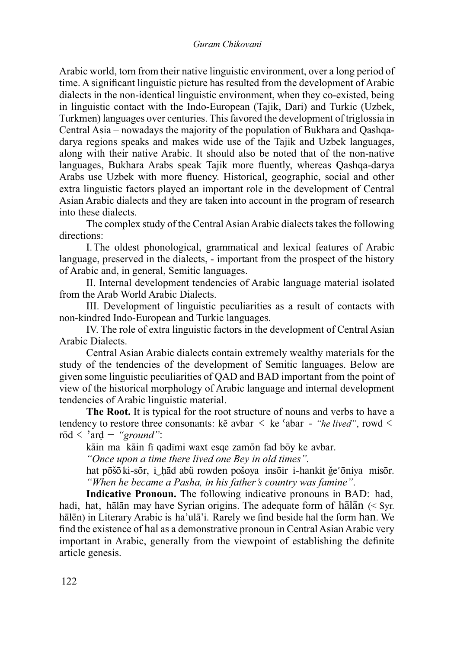Arabic world, torn from their native linguistic environment, over a long period of time. A significant linguistic picture has resulted from the development of Arabic dialects in the non-identical linguistic environment, when they co-existed, being in linguistic contact with the Indo-European (Tajik, Dari) and Turkic (Uzbek, Turkmen) languages over centuries. This favored the development of triglossia in Central Asia – nowadays the majority of the population of Bukhara and Qashqadarya regions speaks and makes wide use of the Tajik and Uzbek languages, along with their native Arabic. It should also be noted that of the non-native languages, Bukhara Arabs speak Tajik more fluently, whereas Qashqa-darya Arabs use Uzbek with more fluency. Historical, geographic, social and other extra linguistic factors played an important role in the development of Central Asian Arabic dialects and they are taken into account in the program of research into these dialects

The complex study of the Central Asian Arabic dialects takes the following directions:

I. The oldest phonological, grammatical and lexical features of Arabic language, preserved in the dialects, - important from the prospect of the history of Arabic and, in general, Semitic languages.

II. Internal development tendencies of Arabic language material isolated from the Arab World Arabic Dialects.

III. Development of linguistic peculiarities as a result of contacts with non-kindred Indo-European and Turkic languages.

IV. The role of extra linguistic factors in the development of Central Asian Arabic Dialects.

Central Asian Arabic dialects contain extremely wealthy materials for the study of the tendencies of the development of Semitic languages. Below are given some linguistic peculiarities of QAD and BAD important from the point of view of the historical morphology of Arabic language and internal development tendencies of Arabic linguistic material.

The Root. It is typical for the root structure of nouns and verbs to have a tendency to restore three consonants: ke avbar  $\leq$  ke 'abar - "he lived", rowd  $\leq$  $r\bar{o}d < 'ard - ''ground''$ :

kāin ma kāin fī qadīmi waxt esqe zamon fad boy ke avbar.

"Once upon a time there lived one Bey in old times".

hat pošo ki-sor, i had abü rowden pošova insoir i-hankit šesoniva misor. "When he became a Pasha, in his father's country was famine".

Indicative Pronoun. The following indicative pronouns in BAD: had, hadi, hat, hālān may have Syrian origins. The adequate form of hālān  $(<$  Syr. hālēn) in Literary Arabic is ha'ulā'i. Rarely we find beside hal the form han. We find the existence of hal as a demonstrative pronoun in Central Asian Arabic very important in Arabic, generally from the viewpoint of establishing the definite article genesis.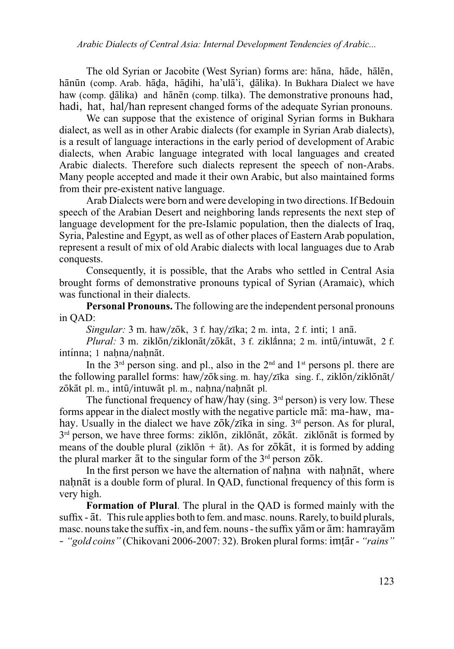The old Syrian or Jacobite (West Syrian) forms are: hana, hade, halen, hānūn (comp. Arab. hāda, hādihi, ha'ulā'i, dālika). In Bukhara Dialect we have haw (comp. dālika) and hānēn (comp. tilka). The demonstrative pronouns had, hadi, hat, hal/han represent changed forms of the adequate Syrian pronouns.

We can suppose that the existence of original Syrian forms in Bukhara dialect, as well as in other Arabic dialects (for example in Syrian Arab dialects), is a result of language interactions in the early period of development of Arabic dialects, when Arabic language integrated with local languages and created Arabic dialects. Therefore such dialects represent the speech of non-Arabs. Many people accepted and made it their own Arabic, but also maintained forms from their pre-existent native language.

Arab Dialects were born and were developing in two directions. If Bedouin speech of the Arabian Desert and neighboring lands represents the next step of language development for the pre-Islamic population, then the dialects of Iraq, Syria, Palestine and Egypt, as well as of other places of Eastern Arab population, represent a result of mix of old Arabic dialects with local languages due to Arab conquests.

Consequently, it is possible, that the Arabs who settled in Central Asia brought forms of demonstrative pronouns typical of Syrian (Aramaic), which was functional in their dialects.

**Personal Pronouns.** The following are the independent personal pronouns in QAD:

Singular: 3 m. haw/zōk, 3 f. hay/zīka; 2 m. inta, 2 f. inti; 1 anā.

Plural: 3 m. ziklōn/ziklonāt/zōkāt, 3 f. ziklānna; 2 m. intū/intuwāt, 2 f. intínna: 1 nahna/nahnāt.

In the  $3<sup>rd</sup>$  person sing, and pl., also in the  $2<sup>nd</sup>$  and  $1<sup>st</sup>$  persons pl. there are the following parallel forms: haw/zōk sing. m. hay/zīka sing. f., ziklōn/ziklōnāt/ zōkāt pl. m., intū/intuwāt pl. m., nahna/nahnāt pl.

The functional frequency of haw/hay (sing.  $3<sup>rd</sup>$  person) is very low. These forms appear in the dialect mostly with the negative particle ma<sub>r</sub> ma-haw, mahay. Usually in the dialect we have zōk/zīka in sing. 3<sup>rd</sup> person. As for plural, 3<sup>rd</sup> person, we have three forms: ziklon, ziklonāt, zokāt. ziklonāt is formed by means of the double plural (ziklon  $+$  at). As for zonality it is formed by adding the plural marker at to the singular form of the 3<sup>rd</sup> person zok.

In the first person we have the alternation of nahna with nahnat, where nahnat is a double form of plural. In QAD, functional frequency of this form is very high.

**Formation of Plural.** The plural in the OAD is formed mainly with the suffix - at. This rule applies both to fem. and masc. nouns. Rarely, to build plurals, masc. nouns take the suffix -in, and fem. nouns - the suffix yam or am: hamrayam

- "gold coins" (Chikovani 2006-2007: 32). Broken plural forms: imtār - "rains"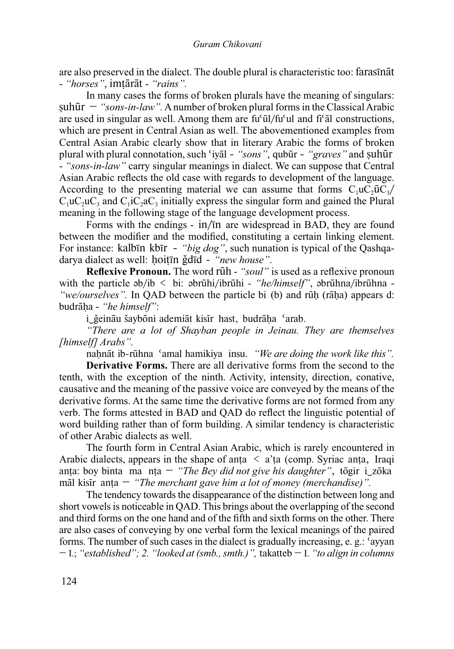are also preserved in the dialect. The double plural is characteristic too: farasinat - "horses", imtārāt - "rains".

In many cases the forms of broken plurals have the meaning of singulars: suhūr – "sons-in-law". A number of broken plural forms in the Classical Arabic are used in singular as well. Among them are fu'ūl/fu'ul and fi'al constructions, which are present in Central Asian as well. The abovementioned examples from Central Asian Arabic clearly show that in literary Arabic the forms of broken plural with plural connotation, such 'iyal - "sons", qubur - "graves" and suhur - "sons-in-law" carry singular meanings in dialect. We can suppose that Central Asian Arabic reflects the old case with regards to development of the language. According to the presenting material we can assume that forms  $C_1 \mu C_2 \bar{\mu} C_3$  $C_1 \mu C_2 \mu C_3$  and  $C_1 \bar{C}_2 a C_3$  initially express the singular form and gained the Plural meaning in the following stage of the language development process.

Forms with the endings - in/in are widespread in BAD, they are found between the modifier and the modified, constituting a certain linking element. For instance: kalbin kbir - "big dog", such nunation is typical of the Qashqadarya dialect as well: hoitin ğdīd - "new house".

Reflexive Pronoun. The word ruh - "soul" is used as a reflexive pronoun with the particle  $ab/b < bi$ :  $abr\bar{u}h$ i/ibr $\bar{u}h$ i - "he/himself",  $abr\bar{u}h$ na/ibr $\bar{u}h$ na -"we/ourselves". In QAD between the particle bi (b) and rūh (rāha) appears d: budrāha - "*he himself*":

i šeināu šayboni ademiāt kisīr hast, budrāha 'arab.

"There are a lot of Shayban people in Jeinau. They are themselves [himself] Arabs".

nahnāt ib-rūhna 'amal hamikiya insu. "We are doing the work like this".

**Derivative Forms.** There are all derivative forms from the second to the tenth, with the exception of the ninth. Activity, intensity, direction, conative, causative and the meaning of the passive voice are conveyed by the means of the derivative forms. At the same time the derivative forms are not formed from any verb. The forms attested in BAD and QAD do reflect the linguistic potential of word building rather than of form building. A similar tendency is characteristic of other Arabic dialects as well.

The fourth form in Central Asian Arabic, which is rarely encountered in Arabic dialects, appears in the shape of anta  $\langle a \rangle$  a'ta (comp. Syriac anta, Iraqi anta: boy binta ma nta - "The Bey did not give his daughter", tōgir i\_zōka māl kisīr anța  $-$  "The merchant gave him a lot of money (merchandise)".

The tendency towards the disappearance of the distinction between long and short vowels is noticeable in QAD. This brings about the overlapping of the second and third forms on the one hand and of the fifth and sixth forms on the other. There are also cases of conveying by one verbal form the lexical meanings of the paired forms. The number of such cases in the dialect is gradually increasing, e. g.: 'ayyan  $-$  I.; "established"; 2. "looked at (smb., smth.)", takatteb  $-$  I. "to align in columns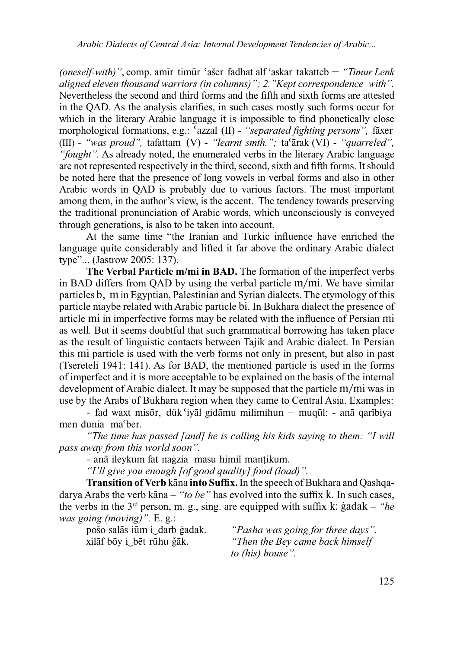*(oneself-with)*", comp. amir timur 'aser fadhat alf 'askar takatteb – "Timur Lenk *aligned eleven thousand warriors (in columns)"; 2."Kept correspondence with".* Nevertheless the second and third forms and the fifth and sixth forms are attested in the QAD. As the analysis clarifies, in such cases mostly such forms occur for which in the literary Arabic language it is impossible to find phonetically close morphological formations, e.g.: <sup>Y</sup>azzal (II) - "*separated fighting persons*", faxer (III) - "was proud", tafattam (V) - "learnt smth."; ta'arak (VI) - "quarreled", "fought". As already noted, the enumerated verbs in the literary Arabic language are not represented respectively in the third, second, sixth and fifth forms. It should be noted here that the presence of long vowels in verbal forms and also in other Arabic words in QAD is probably due to various factors. The most important among them, in the author's view, is the accent. The tendency towards preserving the traditional pronunciation of Arabic words, which unconsciously is conveyed through generations, is also to be taken into account.

At the same time "the Iranian and Turkic influence have enriched the language quite considerably and lifted it far above the ordinary Arabic dialect  $type$ "... (Jastrow 2005: 137).

The Verbal Particle m/mi in BAD. The formation of the imperfect verbs in BAD differs from QAD by using the verbal particle m/mi. We have similar particles b, m in Egyptian, Palestinian and Syrian dialects. The etymology of this particle maybe related with Arabic particle bi. In Bukhara dialect the presence of article mi in imperfective forms may be related with the influence of Persian mi as well. But it seems doubtful that such grammatical borrowing has taken place as the result of linguistic contacts between Tajik and Arabic dialect. In Persian this mi particle is used with the verb forms not only in present, but also in past (Tsereteli 1941: 141). As for BAD, the mentioned particle is used in the forms of imperfect and it is more acceptable to be explained on the basis of the internal development of Arabic dialect. It may be supposed that the particle  $m/mi$  was in use by the Arabs of Bukhara region when they came to Central Asia. Examples:

- fad waxt misor, dük 'iyal gidamu milimihun  $-$  muqul: - ana qaribiya men dunia ma'ber.

"The time has passed [and] he is calling his kids saying to them: "I will *pass away from this world soon".*

- anā ileykum fat naģzia masu himil mantikum.

"I'll give you enough [of good quality] food (load)".

**Transition of Verb kana into Suffix.** In the speech of Bukhara and Qashqadarya Arabs the verb kāna – "to be" has evolved into the suffix k. In such cases, the verbs in the  $3<sup>rd</sup>$  person, m. g., sing. are equipped with suffix k: gadak – "he *was going (moving)*". E. g.:

pošo salās iūm i darb gadak. "Pasha was going for three days". xilaf boy i\_bet rūhu ǧāk. *<sup>4</sup>Then the Bey came back himself to (his) house".*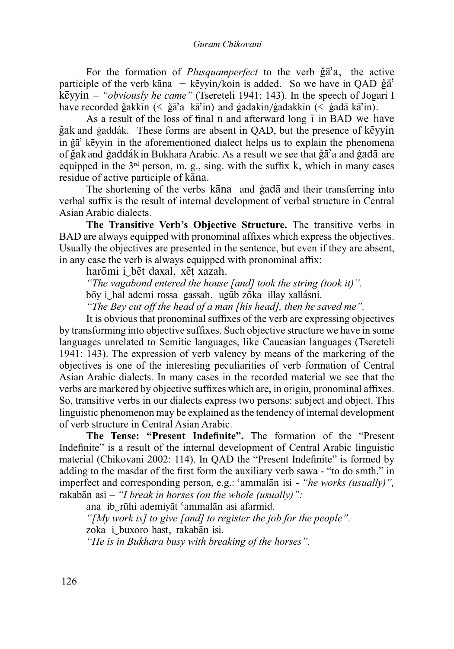For the formation of *Plusquamperfect* to the verb  $\check{g} \bar{a}' a$ , the active participle of the verb kana  $-$  keyyin/koin is added. So we have in QAD  $\check{g}\check{a}'$ kēyyin – "obviously he came" (Tsereteli 1941: 143). In the speech of Jogari I have recorded ğakkin  $(\leq \xi a^2 a \leq k a^2)$ in) and gadakin/gadakkin  $(\leq \xi a d \xi a^2)$ in).

As a result of the loss of final n and afterward long 1 in BAD we have ğak and gaddák. These forms are absent in OAD, but the presence of key vin in ğā' kēyyin in the aforementioned dialect helps us to explain the phenomena of ğak and gaddák in Bukhara Arabic. As a result we see that ga'a and gadā are equipped in the  $3<sup>rd</sup>$  person, m. g., sing. with the suffix k, which in many cases residue of active participle of kana.

The shortening of the verbs kana and gada and their transferring into verbal suffix is the result of internal development of verbal structure in Central Asian Arabic dialects.

The Transitive Verb's Objective Structure. The transitive verbs in BAD are always equipped with pronominal affixes which express the objectives. Usually the objectives are presented in the sentence, but even if they are absent, in any case the verb is always equipped with pronominal affix:

harōmi i bēt daxal, xēt xazah.

"The vagabond entered the house [and] took the string (took it)".

bōy i hal ademi rossa gassah. ugūb zōka illay xallásni.

"The Bey cut off the head of a man [his head], then he saved me".

It is obvious that pronominal suffixes of the verb are expressing objectives by transforming into objective suffixes. Such objective structure we have in some languages unrelated to Semitic languages, like Caucasian languages (Tsereteli 1941: 143). The expression of verb valency by means of the markering of the objectives is one of the interesting peculiarities of verb formation of Central Asian Arabic dialects. In many cases in the recorded material we see that the verbs are markered by objective suffixes which are, in origin, pronominal affixes. So, transitive verbs in our dialects express two persons: subject and object. This linguistic phenomenon may be explained as the tendency of internal development of verb structure in Central Asian Arabic.

The Tense: "Present Indefinite". The formation of the "Present Indefinite" is a result of the internal development of Central Arabic linguistic material (Chikovani 2002: 114). In QAD the "Present Indefinite" is formed by adding to the masdar of the first form the auxiliary verb sawa - "to do smth." in imperfect and corresponding person, e.g.: 'ammalan isi - "he works (usually)", rakabān asi  $-$  "I break in horses (on the whole (usually)":

ana ib rūhi ademivāt 'ammalān asi afarmid.

"[My work is] to give [and] to register the job for the people". zoka i buxoro hast, rakabān isi.

"He is in Bukhara busy with breaking of the horses".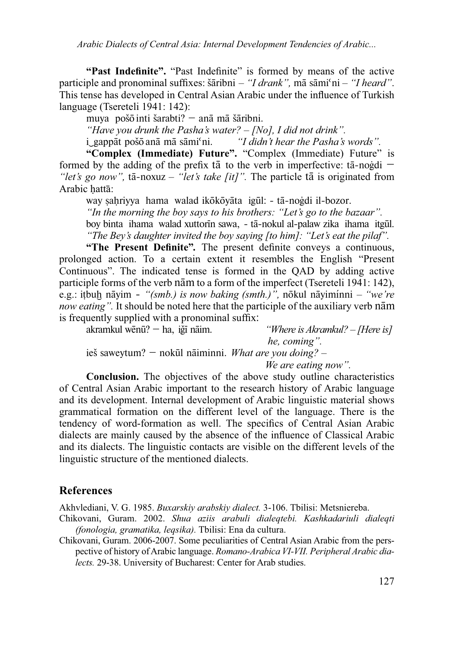"Past Indefinite". "Past Indefinite" is formed by means of the active participle and pronominal suffixes: šāribni – "I drank", mā sāmi'ni – "I heard". This tense has developed in Central Asian Arabic under the influence of Turkish language (Tsereteli 1941: 142):

muva pošo inti šarabti?  $-$ anā mā šāribni.

"Have you drunk the Pasha's water? - [No], I did not drink".

i gappāt pošō anā mā sāmi<sup>c</sup>ni. "I didn't hear the Pasha's words".

"Complex (Immediate) Future". "Complex (Immediate) Future" is formed by the adding of the prefix tā to the verb in imperfective:  $t\bar{a}$ -nogdi – "let's go now", tā-noxuz – "let's take [it]". The particle tā is originated from Arabic hattā:

way sahriyya hama walad ikōkōyāta igūl: - tā-noģdi il-bozor.

"In the morning the boy says to his brothers: "Let's go to the bazaar".

boy binta ihama walad xuttorin sawa, - tā-nokul al-palaw zika ihama itgūl. "The Bey's daughter invited the boy saying [to him]: "Let's eat the pilaf".

"The Present Definite". The present definite conveys a continuous, prolonged action. To a certain extent it resembles the English "Present" Continuous". The indicated tense is formed in the OAD by adding active participle forms of the verb nam to a form of the imperfect (Tsereteli 1941: 142), e.g.: itbub nāyim - "(smb.) is now baking (smth.)", nōkul nāyiminni - "we're now eating". It should be noted here that the participle of the auxiliary verb nam is frequently supplied with a pronominal suffix:

akramkul wēnū? — ha, iğī nāim.

"Where is Akramkul? - [Here is] he, coming".

ieš saweytum? – nokūl nāiminni. What are you doing? –

We are eating now".

**Conclusion.** The objectives of the above study outline characteristics of Central Asian Arabic important to the research history of Arabic language and its development. Internal development of Arabic linguistic material shows grammatical formation on the different level of the language. There is the tendency of word-formation as well. The specifics of Central Asian Arabic dialects are mainly caused by the absence of the influence of Classical Arabic and its dialects. The linguistic contacts are visible on the different levels of the linguistic structure of the mentioned dialects.

## **References**

Akhvlediani, V. G. 1985. Buxarskiy arabskiy dialect. 3-106. Tbilisi: Metsniereba.

- Chikovani, Guram. 2002. Shua aziis arabuli dialegtebi. Kashkadariuli dialegti (fonologia, gramatika, leqsika). Tbilisi: Ena da cultura.
- Chikovani, Guram. 2006-2007. Some peculiarities of Central Asian Arabic from the perspective of history of Arabic language. Romano-Arabica VI-VII. Peripheral Arabic dialects. 29-38. University of Bucharest: Center for Arab studies.